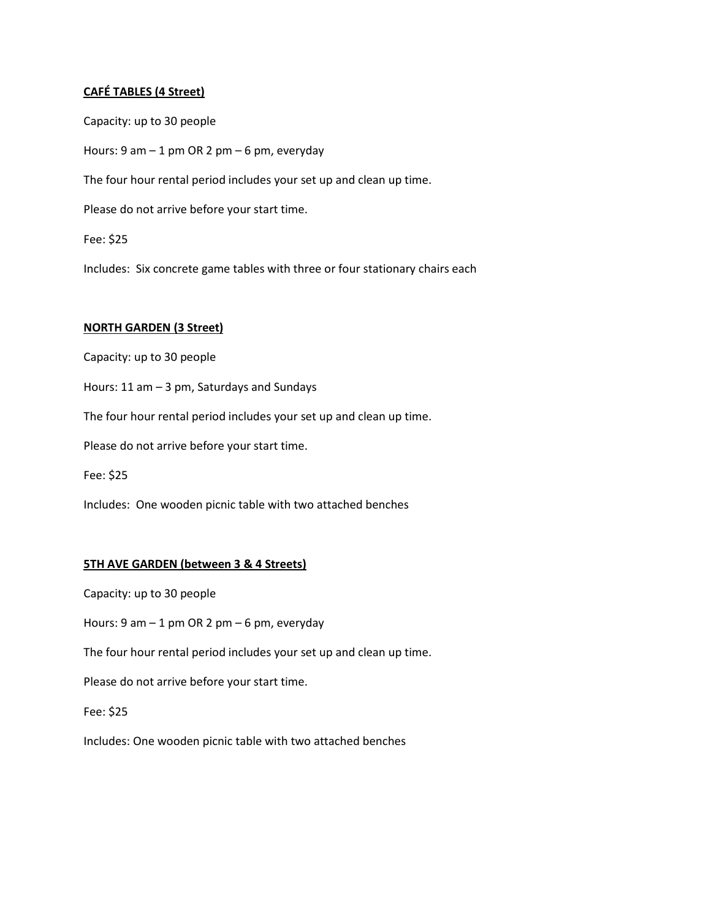## **CAFÉ TABLES (4 Street)**

Capacity: up to 30 people Hours: 9 am – 1 pm OR 2 pm – 6 pm, everyday The four hour rental period includes your set up and clean up time. Please do not arrive before your start time. Fee: \$25 Includes: Six concrete game tables with three or four stationary chairs each

## **NORTH GARDEN (3 Street)**

Capacity: up to 30 people

Hours: 11 am – 3 pm, Saturdays and Sundays

The four hour rental period includes your set up and clean up time.

Please do not arrive before your start time.

Fee: \$25

Includes: One wooden picnic table with two attached benches

## **5TH AVE GARDEN (between 3 & 4 Streets)**

Capacity: up to 30 people

Hours: 9 am – 1 pm OR 2 pm – 6 pm, everyday

The four hour rental period includes your set up and clean up time.

Please do not arrive before your start time.

Fee: \$25

Includes: One wooden picnic table with two attached benches